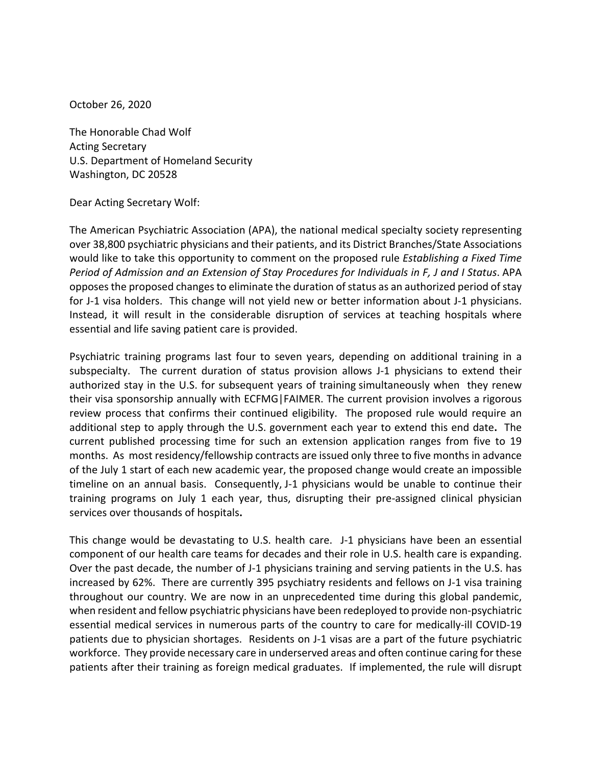October 26, 2020

The Honorable Chad Wolf Acting Secretary U.S. Department of Homeland Security Washington, DC 20528

Dear Acting Secretary Wolf:

The American Psychiatric Association (APA), the national medical specialty society representing over 38,800 psychiatric physicians and their patients, and its District Branches/State Associations would like to take this opportunity to comment on the proposed rule *Establishing a Fixed Time Period of Admission and an Extension of Stay Procedures for Individuals in F, J and I Status*. APA opposes the proposed changes to eliminate the duration of status as an authorized period of stay for J-1 visa holders. This change will not yield new or better information about J-1 physicians. Instead, it will result in the considerable disruption of services at teaching hospitals where essential and life saving patient care is provided.

Psychiatric training programs last four to seven years, depending on additional training in a subspecialty. The current duration of status provision allows J-1 physicians to extend their authorized stay in the U.S. for subsequent years of training simultaneously when they renew their visa sponsorship annually with ECFMG|FAIMER. The current provision involves a rigorous review process that confirms their continued eligibility. The proposed rule would require an additional step to apply through the U.S. government each year to extend this end date**.** The current published processing time for such an extension application ranges from five to 19 months. As most residency/fellowship contracts are issued only three to five months in advance of the July 1 start of each new academic year, the proposed change would create an impossible timeline on an annual basis. Consequently, J-1 physicians would be unable to continue their training programs on July 1 each year, thus, disrupting their pre-assigned clinical physician services over thousands of hospitals**.**

This change would be devastating to U.S. health care. J-1 physicians have been an essential component of our health care teams for decades and their role in U.S. health care is expanding. Over the past decade, the number of J-1 physicians training and serving patients in the U.S. has increased by 62%. There are currently 395 psychiatry residents and fellows on J-1 visa training throughout our country. We are now in an unprecedented time during this global pandemic, when resident and fellow psychiatric physicians have been redeployed to provide non-psychiatric essential medical services in numerous parts of the country to care for medically-ill COVID-19 patients due to physician shortages. Residents on J-1 visas are a part of the future psychiatric workforce. They provide necessary care in underserved areas and often continue caring for these patients after their training as foreign medical graduates. If implemented, the rule will disrupt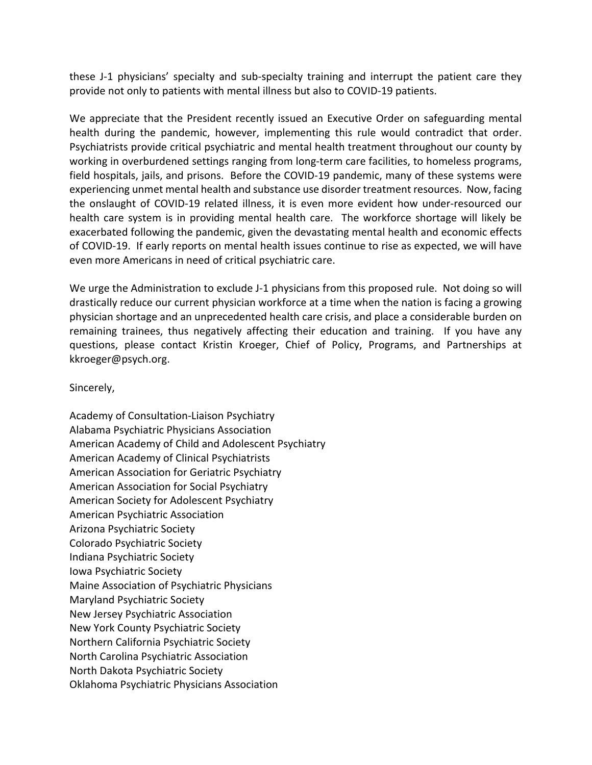these J-1 physicians' specialty and sub-specialty training and interrupt the patient care they provide not only to patients with mental illness but also to COVID-19 patients.

We appreciate that the President recently issued an Executive Order on safeguarding mental health during the pandemic, however, implementing this rule would contradict that order. Psychiatrists provide critical psychiatric and mental health treatment throughout our county by working in overburdened settings ranging from long-term care facilities, to homeless programs, field hospitals, jails, and prisons. Before the COVID-19 pandemic, many of these systems were experiencing unmet mental health and substance use disorder treatment resources. Now, facing the onslaught of COVID-19 related illness, it is even more evident how under-resourced our health care system is in providing mental health care. The workforce shortage will likely be exacerbated following the pandemic, given the devastating mental health and economic effects of COVID-19. If early reports on mental health issues continue to rise as expected, we will have even more Americans in need of critical psychiatric care.

We urge the Administration to exclude J-1 physicians from this proposed rule. Not doing so will drastically reduce our current physician workforce at a time when the nation is facing a growing physician shortage and an unprecedented health care crisis, and place a considerable burden on remaining trainees, thus negatively affecting their education and training. If you have any questions, please contact Kristin Kroeger, Chief of Policy, Programs, and Partnerships at kkroeger@psych.org.

Sincerely,

Academy of Consultation-Liaison Psychiatry Alabama Psychiatric Physicians Association American Academy of Child and Adolescent Psychiatry American Academy of Clinical Psychiatrists American Association for Geriatric Psychiatry American Association for Social Psychiatry American Society for Adolescent Psychiatry American Psychiatric Association Arizona Psychiatric Society Colorado Psychiatric Society Indiana Psychiatric Society Iowa Psychiatric Society Maine Association of Psychiatric Physicians Maryland Psychiatric Society New Jersey Psychiatric Association New York County Psychiatric Society Northern California Psychiatric Society North Carolina Psychiatric Association North Dakota Psychiatric Society Oklahoma Psychiatric Physicians Association